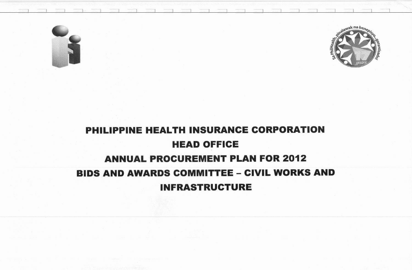



## PHILIPPINE HEALTH INSURANCE CORPORATION HEAD OFFICE ANNUAL PROCUREMENT PLAN FOR 2012 **BIDS AND AWARDS COMMITTEE - CIVIL WORKS AND** INFRASTRUCTURE

1 ) I , 1 1 1 1 I 1 1 1 1 1 1 1 l 1 1 1